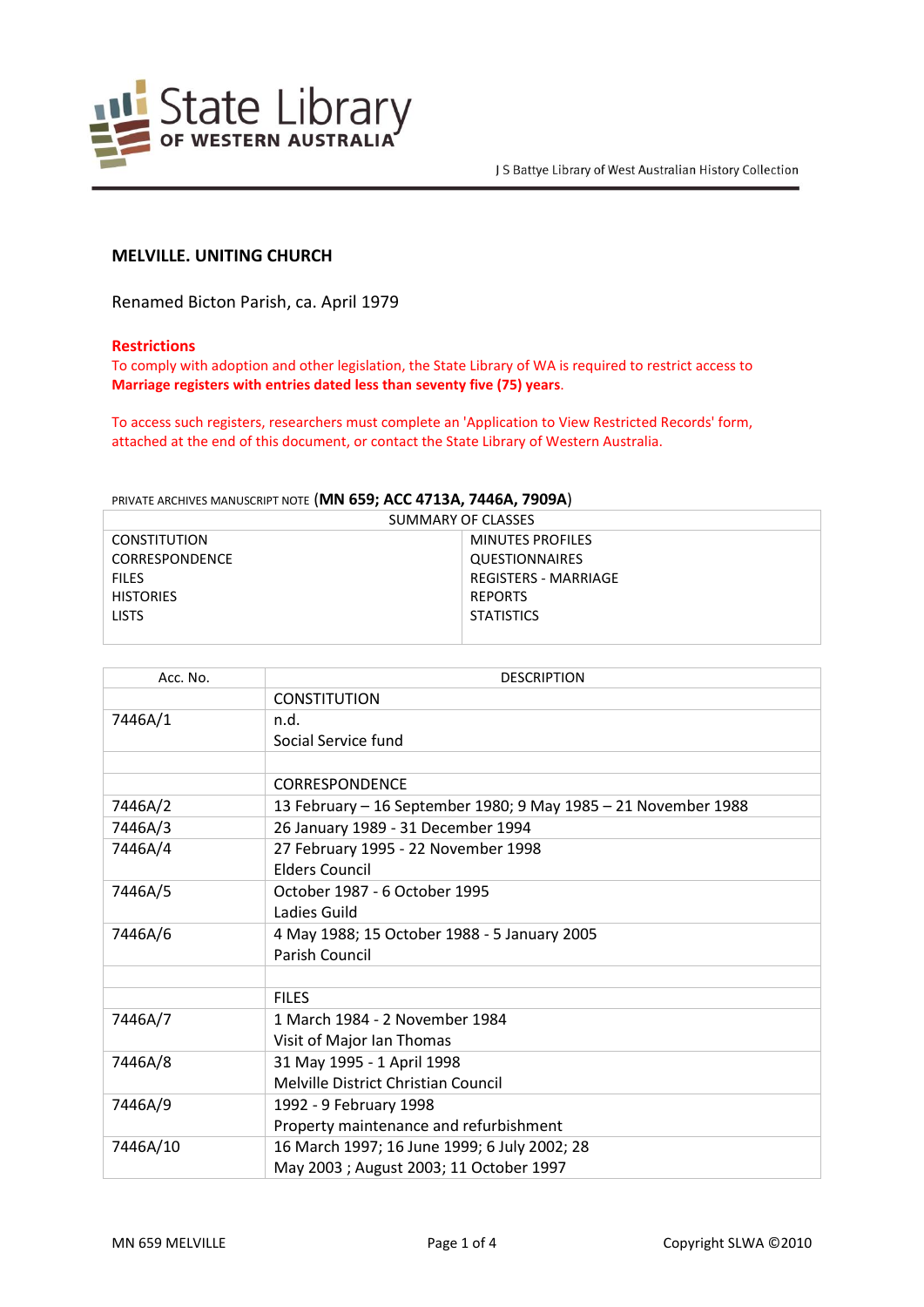

# **MELVILLE. UNITING CHURCH**

Renamed Bicton Parish, ca. April 1979

#### **Restrictions**

To comply with adoption and other legislation, the State Library of WA is required to restrict access to **Marriage registers with entries dated less than seventy five (75) years**.

To access such registers, researchers must complete an 'Application to View Restricted Records' form, attached at the end of this document, or contact the State Library of Western Australia.

## PRIVATE ARCHIVES MANUSCRIPT NOTE (**MN 659; ACC 4713A, 7446A, 7909A**)

| SUMMARY OF CLASSES    |                         |  |
|-----------------------|-------------------------|--|
| <b>CONSTITUTION</b>   | <b>MINUTES PROFILES</b> |  |
| <b>CORRESPONDENCE</b> | <b>QUESTIONNAIRES</b>   |  |
| <b>FILES</b>          | REGISTERS - MARRIAGE    |  |
| <b>HISTORIES</b>      | <b>REPORTS</b>          |  |
| <b>LISTS</b>          | <b>STATISTICS</b>       |  |
|                       |                         |  |

| Acc. No. | <b>DESCRIPTION</b>                                             |
|----------|----------------------------------------------------------------|
|          | <b>CONSTITUTION</b>                                            |
| 7446A/1  | n.d.                                                           |
|          | Social Service fund                                            |
|          |                                                                |
|          | <b>CORRESPONDENCE</b>                                          |
| 7446A/2  | 13 February - 16 September 1980; 9 May 1985 - 21 November 1988 |
| 7446A/3  | 26 January 1989 - 31 December 1994                             |
| 7446A/4  | 27 February 1995 - 22 November 1998                            |
|          | <b>Elders Council</b>                                          |
| 7446A/5  | October 1987 - 6 October 1995                                  |
|          | Ladies Guild                                                   |
| 7446A/6  | 4 May 1988; 15 October 1988 - 5 January 2005                   |
|          | Parish Council                                                 |
|          |                                                                |
|          | <b>FILES</b>                                                   |
| 7446A/7  | 1 March 1984 - 2 November 1984                                 |
|          | Visit of Major Ian Thomas                                      |
| 7446A/8  | 31 May 1995 - 1 April 1998                                     |
|          | Melville District Christian Council                            |
| 7446A/9  | 1992 - 9 February 1998                                         |
|          | Property maintenance and refurbishment                         |
| 7446A/10 | 16 March 1997; 16 June 1999; 6 July 2002; 28                   |
|          | May 2003 ; August 2003; 11 October 1997                        |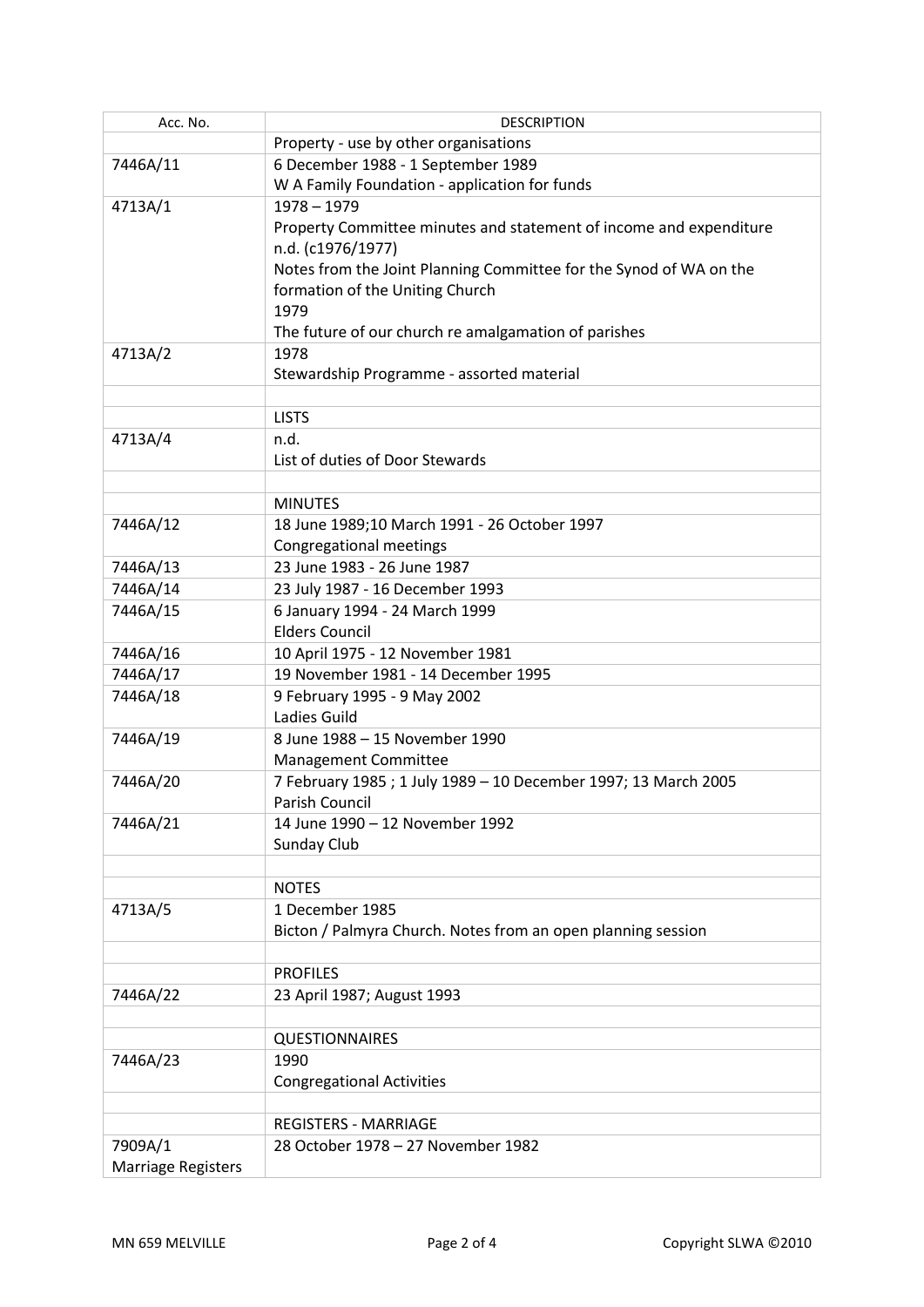| Acc. No.                  | <b>DESCRIPTION</b>                                                 |
|---------------------------|--------------------------------------------------------------------|
|                           | Property - use by other organisations                              |
| 7446A/11                  | 6 December 1988 - 1 September 1989                                 |
|                           | W A Family Foundation - application for funds                      |
| 4713A/1                   | $1978 - 1979$                                                      |
|                           | Property Committee minutes and statement of income and expenditure |
|                           | n.d. (c1976/1977)                                                  |
|                           | Notes from the Joint Planning Committee for the Synod of WA on the |
|                           | formation of the Uniting Church                                    |
|                           | 1979                                                               |
|                           | The future of our church re amalgamation of parishes               |
| 4713A/2                   | 1978                                                               |
|                           | Stewardship Programme - assorted material                          |
|                           |                                                                    |
|                           | <b>LISTS</b>                                                       |
| 4713A/4                   | n.d.<br>List of duties of Door Stewards                            |
|                           |                                                                    |
|                           | <b>MINUTES</b>                                                     |
| 7446A/12                  | 18 June 1989;10 March 1991 - 26 October 1997                       |
|                           | <b>Congregational meetings</b>                                     |
| 7446A/13                  | 23 June 1983 - 26 June 1987                                        |
| 7446A/14                  | 23 July 1987 - 16 December 1993                                    |
| 7446A/15                  | 6 January 1994 - 24 March 1999                                     |
|                           | <b>Elders Council</b>                                              |
| 7446A/16                  | 10 April 1975 - 12 November 1981                                   |
| 7446A/17                  | 19 November 1981 - 14 December 1995                                |
| 7446A/18                  | 9 February 1995 - 9 May 2002                                       |
|                           | Ladies Guild                                                       |
| 7446A/19                  | 8 June 1988 - 15 November 1990                                     |
|                           | Management Committee                                               |
| 7446A/20                  | 7 February 1985 ; 1 July 1989 - 10 December 1997; 13 March 2005    |
|                           | Parish Council                                                     |
| 7446A/21                  | 14 June 1990 - 12 November 1992                                    |
|                           | Sunday Club                                                        |
|                           | <b>NOTES</b>                                                       |
| 4713A/5                   | 1 December 1985                                                    |
|                           | Bicton / Palmyra Church. Notes from an open planning session       |
|                           |                                                                    |
|                           | <b>PROFILES</b>                                                    |
| 7446A/22                  | 23 April 1987; August 1993                                         |
|                           |                                                                    |
|                           | <b>QUESTIONNAIRES</b>                                              |
| 7446A/23                  | 1990                                                               |
|                           | <b>Congregational Activities</b>                                   |
|                           |                                                                    |
|                           | <b>REGISTERS - MARRIAGE</b>                                        |
| 7909A/1                   | 28 October 1978 - 27 November 1982                                 |
| <b>Marriage Registers</b> |                                                                    |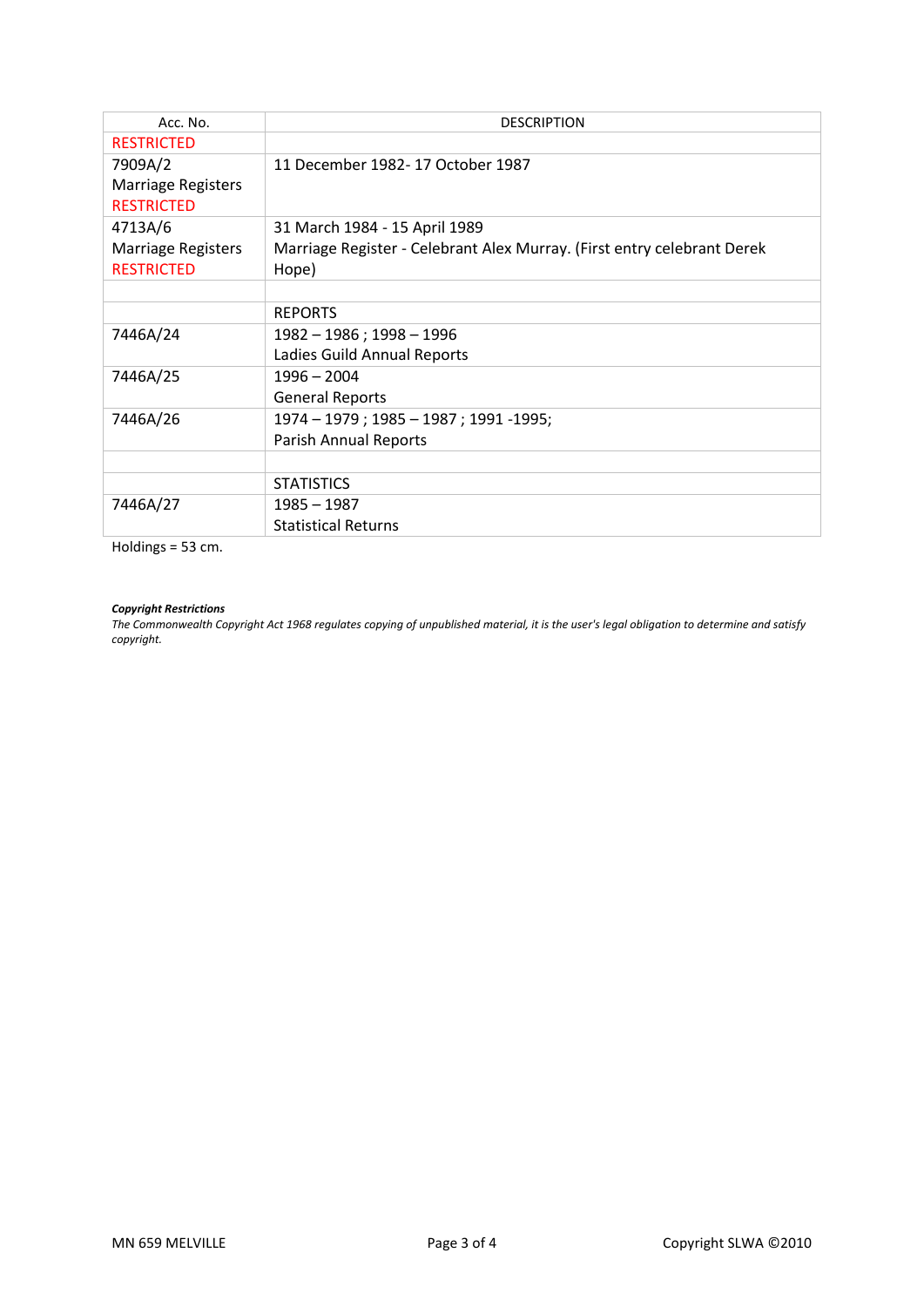| Acc. No.                  | <b>DESCRIPTION</b>                                                      |
|---------------------------|-------------------------------------------------------------------------|
| <b>RESTRICTED</b>         |                                                                         |
| 7909A/2                   | 11 December 1982- 17 October 1987                                       |
| Marriage Registers        |                                                                         |
| <b>RESTRICTED</b>         |                                                                         |
| 4713A/6                   | 31 March 1984 - 15 April 1989                                           |
| <b>Marriage Registers</b> | Marriage Register - Celebrant Alex Murray. (First entry celebrant Derek |
| <b>RESTRICTED</b>         | Hope)                                                                   |
|                           |                                                                         |
|                           | <b>REPORTS</b>                                                          |
| 7446A/24                  | 1982 - 1986 ; 1998 - 1996                                               |
|                           | Ladies Guild Annual Reports                                             |
| 7446A/25                  | 1996 - 2004                                                             |
|                           | <b>General Reports</b>                                                  |
| 7446A/26                  | 1974 - 1979 ; 1985 - 1987 ; 1991 - 1995;                                |
|                           | <b>Parish Annual Reports</b>                                            |
|                           |                                                                         |
|                           | <b>STATISTICS</b>                                                       |
| 7446A/27                  | 1985 - 1987                                                             |
|                           | <b>Statistical Returns</b>                                              |

Holdings = 53 cm.

### *Copyright Restrictions*

*The Commonwealth Copyright Act 1968 regulates copying of unpublished material, it is the user's legal obligation to determine and satisfy copyright.*